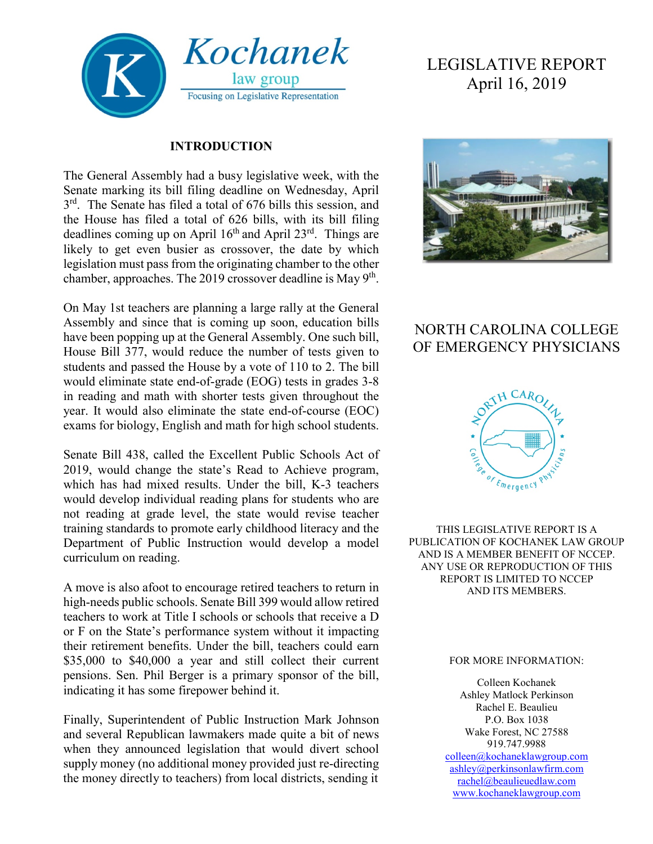

#### **INTRODUCTION**

The General Assembly had a busy legislative week, with the Senate marking its bill filing deadline on Wednesday, April  $3<sup>rd</sup>$ . The Senate has filed a total of 676 bills this session, and the House has filed a total of 626 bills, with its bill filing deadlines coming up on April  $16<sup>th</sup>$  and April 23<sup>rd</sup>. Things are likely to get even busier as crossover, the date by which legislation must pass from the originating chamber to the other chamber, approaches. The 2019 crossover deadline is May  $9<sup>th</sup>$ .

On May 1st teachers are planning a large rally at the General Assembly and since that is coming up soon, education bills have been popping up at the General Assembly. One such bill, House Bill 377, would reduce the number of tests given to students and passed the House by a vote of 110 to 2. The bill would eliminate state end-of-grade (EOG) tests in grades 3-8 in reading and math with shorter tests given throughout the year. It would also eliminate the state end-of-course (EOC) exams for biology, English and math for high school students.

Senate Bill 438, called the Excellent Public Schools Act of 2019, would change the state's Read to Achieve program, which has had mixed results. Under the bill, K-3 teachers would develop individual reading plans for students who are not reading at grade level, the state would revise teacher training standards to promote early childhood literacy and the Department of Public Instruction would develop a model curriculum on reading.

A move is also afoot to encourage retired teachers to return in high-needs public schools. Senate Bill 399 would allow retired teachers to work at Title I schools or schools that receive a D or F on the State's performance system without it impacting their retirement benefits. Under the bill, teachers could earn \$35,000 to \$40,000 a year and still collect their current pensions. Sen. Phil Berger is a primary sponsor of the bill, indicating it has some firepower behind it.

Finally, Superintendent of Public Instruction Mark Johnson and several Republican lawmakers made quite a bit of news when they announced legislation that would divert school supply money (no additional money provided just re-directing the money directly to teachers) from local districts, sending it

# LEGISLATIVE REPORT April 16, 2019



### NORTH CAROLINA COLLEGE OF EMERGENCY PHYSICIANS



THIS LEGISLATIVE REPORT IS A PUBLICATION OF KOCHANEK LAW GROUP AND IS A MEMBER BENEFIT OF NCCEP. ANY USE OR REPRODUCTION OF THIS REPORT IS LIMITED TO NCCEP AND ITS MEMBERS.

#### FOR MORE INFORMATION:

Colleen Kochanek Ashley Matlock Perkinson Rachel E. Beaulieu P.O. Box 1038 Wake Forest, NC 27588 919.747.9988 [colleen@kochaneklawgroup.com](mailto:colleen@kochaneklawgroup.com) [ashley@perkinsonlawfirm.com](mailto:ashley@perkinsonlawfirm.com) [rachel@beaulieuedlaw.com](mailto:rachel@beaulieuedlaw.com) [www.kochaneklawgroup.com](http://www.kochaneklawgroup.com/)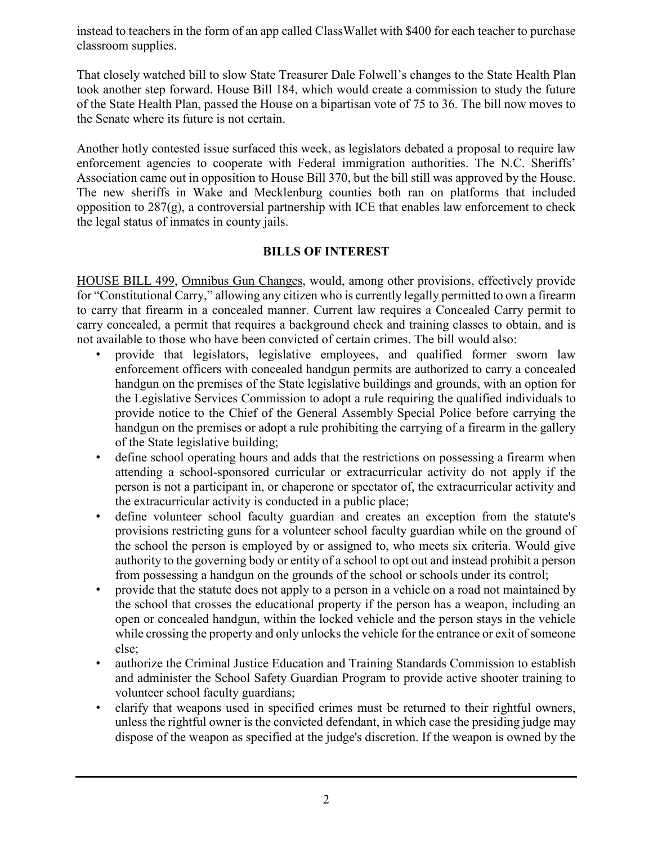instead to teachers in the form of an app called ClassWallet with \$400 for each teacher to purchase classroom supplies.

That closely watched bill to slow State Treasurer Dale Folwell's changes to the State Health Plan took another step forward. House Bill 184, which would create a commission to study the future of the State Health Plan, passed the House on a bipartisan vote of 75 to 36. The bill now moves to the Senate where its future is not certain.

Another hotly contested issue surfaced this week, as legislators debated a proposal to require law enforcement agencies to cooperate with Federal immigration authorities. The N.C. Sheriffs' Association came out in opposition to House Bill 370, but the bill still was approved by the House. The new sheriffs in Wake and Mecklenburg counties both ran on platforms that included opposition to  $287(g)$ , a controversial partnership with ICE that enables law enforcement to check the legal status of inmates in county jails.

### **BILLS OF INTEREST**

HOUSE BILL 499, Omnibus Gun Changes, would, among other provisions, effectively provide for "Constitutional Carry," allowing any citizen who is currently legally permitted to own a firearm to carry that firearm in a concealed manner. Current law requires a Concealed Carry permit to carry concealed, a permit that requires a background check and training classes to obtain, and is not available to those who have been convicted of certain crimes. The bill would also:

- provide that legislators, legislative employees, and qualified former sworn law enforcement officers with concealed handgun permits are authorized to carry a concealed handgun on the premises of the State legislative buildings and grounds, with an option for the Legislative Services Commission to adopt a rule requiring the qualified individuals to provide notice to the Chief of the General Assembly Special Police before carrying the handgun on the premises or adopt a rule prohibiting the carrying of a firearm in the gallery of the State legislative building;
- define school operating hours and adds that the restrictions on possessing a firearm when attending a school-sponsored curricular or extracurricular activity do not apply if the person is not a participant in, or chaperone or spectator of, the extracurricular activity and the extracurricular activity is conducted in a public place;
- define volunteer school faculty guardian and creates an exception from the statute's provisions restricting guns for a volunteer school faculty guardian while on the ground of the school the person is employed by or assigned to, who meets six criteria. Would give authority to the governing body or entity of a school to opt out and instead prohibit a person from possessing a handgun on the grounds of the school or schools under its control;
- provide that the statute does not apply to a person in a vehicle on a road not maintained by the school that crosses the educational property if the person has a weapon, including an open or concealed handgun, within the locked vehicle and the person stays in the vehicle while crossing the property and only unlocks the vehicle for the entrance or exit of someone else;
- authorize the Criminal Justice Education and Training Standards Commission to establish and administer the School Safety Guardian Program to provide active shooter training to volunteer school faculty guardians;
- clarify that weapons used in specified crimes must be returned to their rightful owners, unless the rightful owner is the convicted defendant, in which case the presiding judge may dispose of the weapon as specified at the judge's discretion. If the weapon is owned by the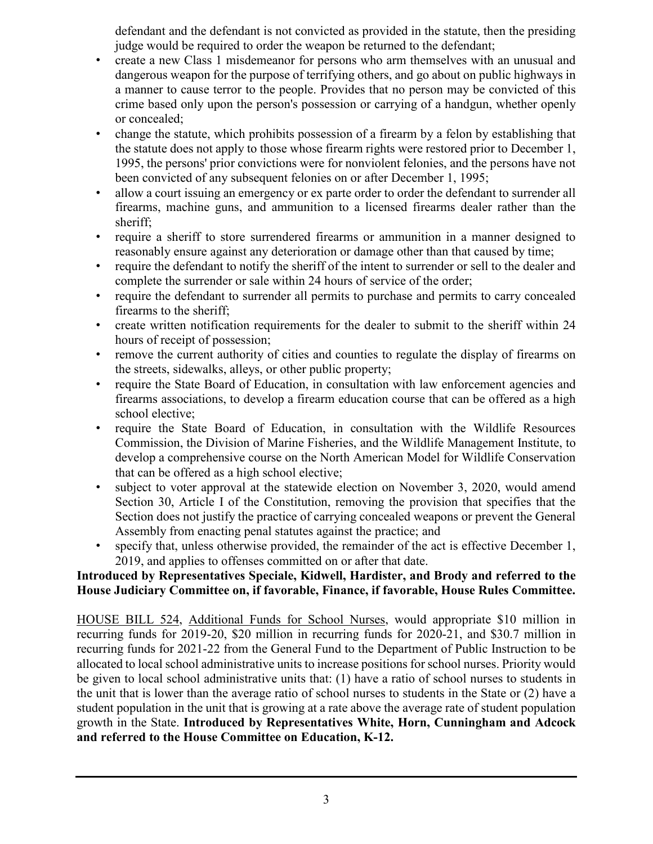defendant and the defendant is not convicted as provided in the statute, then the presiding judge would be required to order the weapon be returned to the defendant;

- create a new Class 1 misdemeanor for persons who arm themselves with an unusual and dangerous weapon for the purpose of terrifying others, and go about on public highways in a manner to cause terror to the people. Provides that no person may be convicted of this crime based only upon the person's possession or carrying of a handgun, whether openly or concealed;
- change the statute, which prohibits possession of a firearm by a felon by establishing that the statute does not apply to those whose firearm rights were restored prior to December 1, 1995, the persons' prior convictions were for nonviolent felonies, and the persons have not been convicted of any subsequent felonies on or after December 1, 1995;
- allow a court issuing an emergency or ex parte order to order the defendant to surrender all firearms, machine guns, and ammunition to a licensed firearms dealer rather than the sheriff;
- require a sheriff to store surrendered firearms or ammunition in a manner designed to reasonably ensure against any deterioration or damage other than that caused by time;
- require the defendant to notify the sheriff of the intent to surrender or sell to the dealer and complete the surrender or sale within 24 hours of service of the order;
- require the defendant to surrender all permits to purchase and permits to carry concealed firearms to the sheriff;
- create written notification requirements for the dealer to submit to the sheriff within 24 hours of receipt of possession;
- remove the current authority of cities and counties to regulate the display of firearms on the streets, sidewalks, alleys, or other public property;
- require the State Board of Education, in consultation with law enforcement agencies and firearms associations, to develop a firearm education course that can be offered as a high school elective;
- require the State Board of Education, in consultation with the Wildlife Resources Commission, the Division of Marine Fisheries, and the Wildlife Management Institute, to develop a comprehensive course on the North American Model for Wildlife Conservation that can be offered as a high school elective;
- subject to voter approval at the statewide election on November 3, 2020, would amend Section 30, Article I of the Constitution, removing the provision that specifies that the Section does not justify the practice of carrying concealed weapons or prevent the General Assembly from enacting penal statutes against the practice; and
- specify that, unless otherwise provided, the remainder of the act is effective December 1, 2019, and applies to offenses committed on or after that date.

### **Introduced by Representatives Speciale, Kidwell, Hardister, and Brody and referred to the House Judiciary Committee on, if favorable, Finance, if favorable, House Rules Committee.**

HOUSE BILL 524, Additional Funds for School Nurses, would appropriate \$10 million in recurring funds for 2019-20, \$20 million in recurring funds for 2020-21, and \$30.7 million in recurring funds for 2021-22 from the General Fund to the Department of Public Instruction to be allocated to local school administrative units to increase positions for school nurses. Priority would be given to local school administrative units that: (1) have a ratio of school nurses to students in the unit that is lower than the average ratio of school nurses to students in the State or (2) have a student population in the unit that is growing at a rate above the average rate of student population growth in the State. **Introduced by Representatives White, Horn, Cunningham and Adcock and referred to the House Committee on Education, K-12.**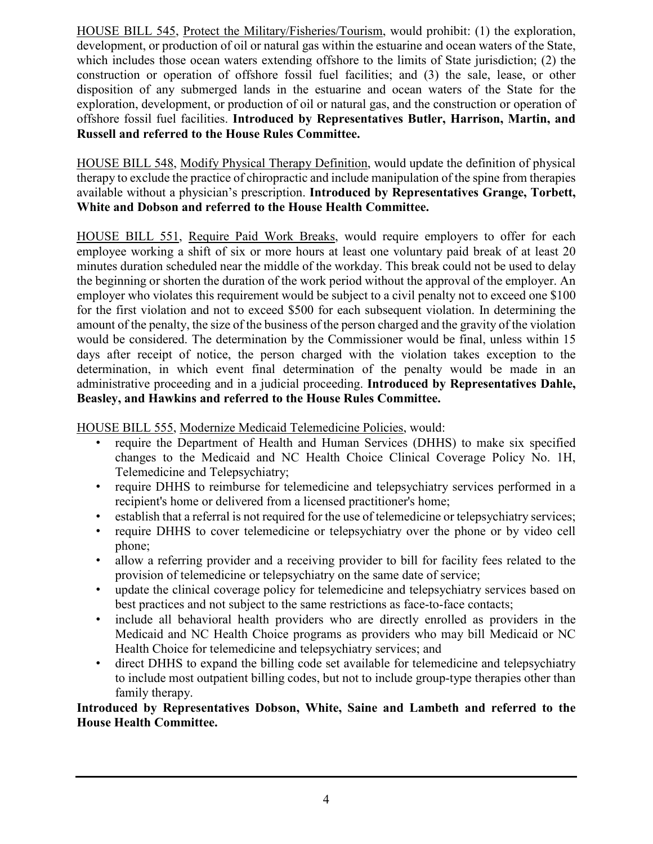HOUSE BILL 545, Protect the Military/Fisheries/Tourism, would prohibit: (1) the exploration, development, or production of oil or natural gas within the estuarine and ocean waters of the State, which includes those ocean waters extending offshore to the limits of State jurisdiction; (2) the construction or operation of offshore fossil fuel facilities; and (3) the sale, lease, or other disposition of any submerged lands in the estuarine and ocean waters of the State for the exploration, development, or production of oil or natural gas, and the construction or operation of offshore fossil fuel facilities. **Introduced by Representatives Butler, Harrison, Martin, and Russell and referred to the House Rules Committee.**

HOUSE BILL 548, Modify Physical Therapy Definition, would update the definition of physical therapy to exclude the practice of chiropractic and include manipulation of the spine from therapies available without a physician's prescription. **Introduced by Representatives Grange, Torbett, White and Dobson and referred to the House Health Committee.**

HOUSE BILL 551, Require Paid Work Breaks, would require employers to offer for each employee working a shift of six or more hours at least one voluntary paid break of at least 20 minutes duration scheduled near the middle of the workday. This break could not be used to delay the beginning or shorten the duration of the work period without the approval of the employer. An employer who violates this requirement would be subject to a civil penalty not to exceed one \$100 for the first violation and not to exceed \$500 for each subsequent violation. In determining the amount of the penalty, the size of the business of the person charged and the gravity of the violation would be considered. The determination by the Commissioner would be final, unless within 15 days after receipt of notice, the person charged with the violation takes exception to the determination, in which event final determination of the penalty would be made in an administrative proceeding and in a judicial proceeding. **Introduced by Representatives Dahle, Beasley, and Hawkins and referred to the House Rules Committee.**

HOUSE BILL 555, Modernize Medicaid Telemedicine Policies, would:

- require the Department of Health and Human Services (DHHS) to make six specified changes to the Medicaid and NC Health Choice Clinical Coverage Policy No. 1H, Telemedicine and Telepsychiatry;
- require DHHS to reimburse for telemedicine and telepsychiatry services performed in a recipient's home or delivered from a licensed practitioner's home;
- establish that a referral is not required for the use of telemedicine or telepsychiatry services;
- require DHHS to cover telemedicine or telepsychiatry over the phone or by video cell phone;
- allow a referring provider and a receiving provider to bill for facility fees related to the provision of telemedicine or telepsychiatry on the same date of service;
- update the clinical coverage policy for telemedicine and telepsychiatry services based on best practices and not subject to the same restrictions as face-to-face contacts;
- include all behavioral health providers who are directly enrolled as providers in the Medicaid and NC Health Choice programs as providers who may bill Medicaid or NC Health Choice for telemedicine and telepsychiatry services; and
- direct DHHS to expand the billing code set available for telemedicine and telepsychiatry to include most outpatient billing codes, but not to include group-type therapies other than family therapy.

### **Introduced by Representatives Dobson, White, Saine and Lambeth and referred to the House Health Committee.**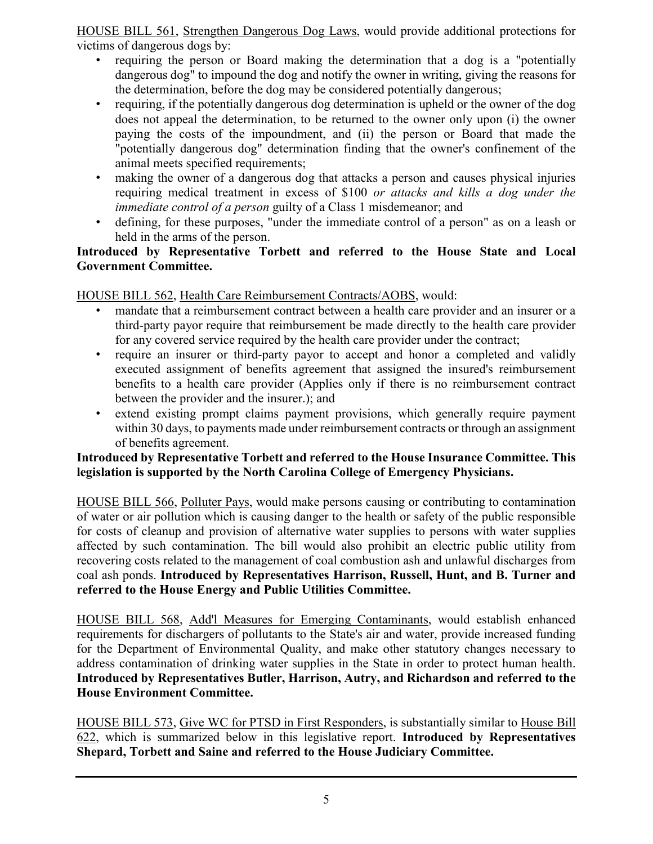HOUSE BILL 561, Strengthen Dangerous Dog Laws, would provide additional protections for victims of dangerous dogs by:

- requiring the person or Board making the determination that a dog is a "potentially dangerous dog" to impound the dog and notify the owner in writing, giving the reasons for the determination, before the dog may be considered potentially dangerous;
- requiring, if the potentially dangerous dog determination is upheld or the owner of the dog does not appeal the determination, to be returned to the owner only upon (i) the owner paying the costs of the impoundment, and (ii) the person or Board that made the "potentially dangerous dog" determination finding that the owner's confinement of the animal meets specified requirements;
- making the owner of a dangerous dog that attacks a person and causes physical injuries requiring medical treatment in excess of \$100 *or attacks and kills a dog under the immediate control of a person* guilty of a Class 1 misdemeanor; and
- defining, for these purposes, "under the immediate control of a person" as on a leash or held in the arms of the person.

### **Introduced by Representative Torbett and referred to the House State and Local Government Committee.**

HOUSE BILL 562, Health Care Reimbursement Contracts/AOBS, would:

- mandate that a reimbursement contract between a health care provider and an insurer or a third-party payor require that reimbursement be made directly to the health care provider for any covered service required by the health care provider under the contract;
- require an insurer or third-party payor to accept and honor a completed and validly executed assignment of benefits agreement that assigned the insured's reimbursement benefits to a health care provider (Applies only if there is no reimbursement contract between the provider and the insurer.); and
- extend existing prompt claims payment provisions, which generally require payment within 30 days, to payments made under reimbursement contracts or through an assignment of benefits agreement.

### **Introduced by Representative Torbett and referred to the House Insurance Committee. This legislation is supported by the North Carolina College of Emergency Physicians.**

HOUSE BILL 566, Polluter Pays, would make persons causing or contributing to contamination of water or air pollution which is causing danger to the health or safety of the public responsible for costs of cleanup and provision of alternative water supplies to persons with water supplies affected by such contamination. The bill would also prohibit an electric public utility from recovering costs related to the management of coal combustion ash and unlawful discharges from coal ash ponds. **Introduced by Representatives Harrison, Russell, Hunt, and B. Turner and referred to the House Energy and Public Utilities Committee.**

HOUSE BILL 568, Add'l Measures for Emerging Contaminants, would establish enhanced requirements for dischargers of pollutants to the State's air and water, provide increased funding for the Department of Environmental Quality, and make other statutory changes necessary to address contamination of drinking water supplies in the State in order to protect human health. **Introduced by Representatives Butler, Harrison, Autry, and Richardson and referred to the House Environment Committee.**

HOUSE BILL 573, Give WC for PTSD in First Responders, is substantially similar to House Bill 622, which is summarized below in this legislative report. **Introduced by Representatives Shepard, Torbett and Saine and referred to the House Judiciary Committee.**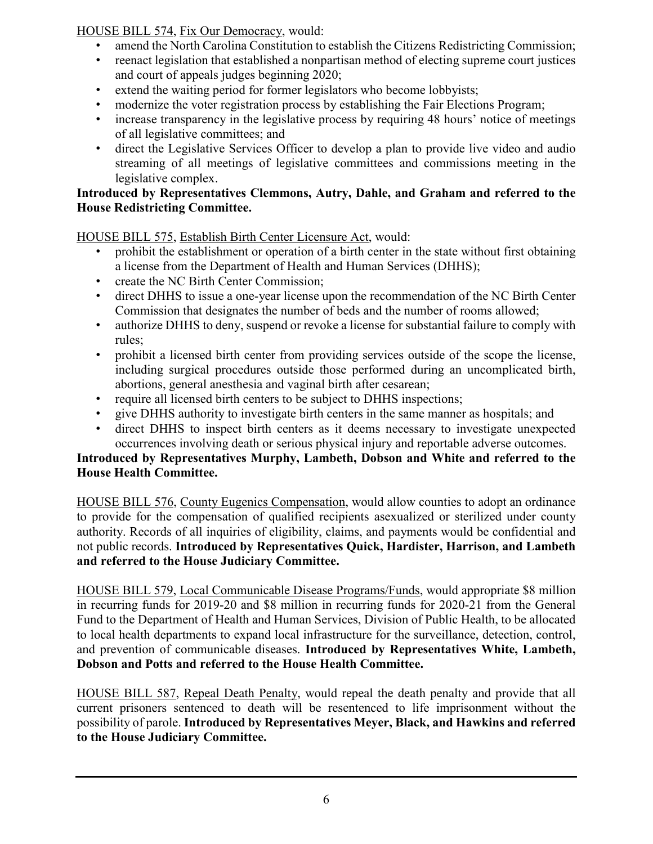HOUSE BILL 574, Fix Our Democracy, would:

- amend the North Carolina Constitution to establish the Citizens Redistricting Commission;
- reenact legislation that established a nonpartisan method of electing supreme court justices and court of appeals judges beginning 2020;
- extend the waiting period for former legislators who become lobbyists;
- modernize the voter registration process by establishing the Fair Elections Program;
- increase transparency in the legislative process by requiring 48 hours' notice of meetings of all legislative committees; and
- direct the Legislative Services Officer to develop a plan to provide live video and audio streaming of all meetings of legislative committees and commissions meeting in the legislative complex.

### **Introduced by Representatives Clemmons, Autry, Dahle, and Graham and referred to the House Redistricting Committee.**

HOUSE BILL 575, Establish Birth Center Licensure Act, would:

- prohibit the establishment or operation of a birth center in the state without first obtaining a license from the Department of Health and Human Services (DHHS);
- create the NC Birth Center Commission;
- direct DHHS to issue a one-year license upon the recommendation of the NC Birth Center Commission that designates the number of beds and the number of rooms allowed;
- authorize DHHS to deny, suspend or revoke a license for substantial failure to comply with rules;
- prohibit a licensed birth center from providing services outside of the scope the license, including surgical procedures outside those performed during an uncomplicated birth, abortions, general anesthesia and vaginal birth after cesarean;
- require all licensed birth centers to be subject to DHHS inspections;
- give DHHS authority to investigate birth centers in the same manner as hospitals; and
- direct DHHS to inspect birth centers as it deems necessary to investigate unexpected occurrences involving death or serious physical injury and reportable adverse outcomes.

### **Introduced by Representatives Murphy, Lambeth, Dobson and White and referred to the House Health Committee.**

HOUSE BILL 576, County Eugenics Compensation, would allow counties to adopt an ordinance to provide for the compensation of qualified recipients asexualized or sterilized under county authority. Records of all inquiries of eligibility, claims, and payments would be confidential and not public records. **Introduced by Representatives Quick, Hardister, Harrison, and Lambeth and referred to the House Judiciary Committee.**

HOUSE BILL 579, Local Communicable Disease Programs/Funds, would appropriate \$8 million in recurring funds for 2019-20 and \$8 million in recurring funds for 2020-21 from the General Fund to the Department of Health and Human Services, Division of Public Health, to be allocated to local health departments to expand local infrastructure for the surveillance, detection, control, and prevention of communicable diseases. **Introduced by Representatives White, Lambeth, Dobson and Potts and referred to the House Health Committee.**

HOUSE BILL 587, Repeal Death Penalty, would repeal the death penalty and provide that all current prisoners sentenced to death will be resentenced to life imprisonment without the possibility of parole. **Introduced by Representatives Meyer, Black, and Hawkins and referred to the House Judiciary Committee.**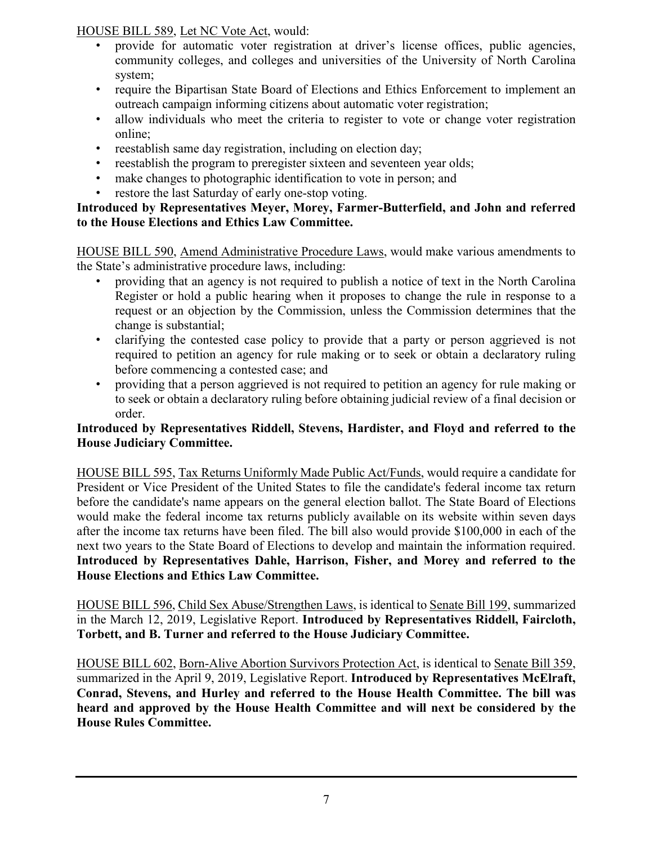HOUSE BILL 589, Let NC Vote Act, would:

- provide for automatic voter registration at driver's license offices, public agencies, community colleges, and colleges and universities of the University of North Carolina system;
- require the Bipartisan State Board of Elections and Ethics Enforcement to implement an outreach campaign informing citizens about automatic voter registration;
- allow individuals who meet the criteria to register to vote or change voter registration online;
- reestablish same day registration, including on election day;
- reestablish the program to preregister sixteen and seventeen year olds;
- make changes to photographic identification to vote in person; and
- restore the last Saturday of early one-stop voting.

### **Introduced by Representatives Meyer, Morey, Farmer-Butterfield, and John and referred to the House Elections and Ethics Law Committee.**

HOUSE BILL 590, Amend Administrative Procedure Laws, would make various amendments to the State's administrative procedure laws, including:

- providing that an agency is not required to publish a notice of text in the North Carolina Register or hold a public hearing when it proposes to change the rule in response to a request or an objection by the Commission, unless the Commission determines that the change is substantial;
- clarifying the contested case policy to provide that a party or person aggrieved is not required to petition an agency for rule making or to seek or obtain a declaratory ruling before commencing a contested case; and
- providing that a person aggrieved is not required to petition an agency for rule making or to seek or obtain a declaratory ruling before obtaining judicial review of a final decision or order.

### **Introduced by Representatives Riddell, Stevens, Hardister, and Floyd and referred to the House Judiciary Committee.**

HOUSE BILL 595, Tax Returns Uniformly Made Public Act/Funds, would require a candidate for President or Vice President of the United States to file the candidate's federal income tax return before the candidate's name appears on the general election ballot. The State Board of Elections would make the federal income tax returns publicly available on its website within seven days after the income tax returns have been filed. The bill also would provide \$100,000 in each of the next two years to the State Board of Elections to develop and maintain the information required. **Introduced by Representatives Dahle, Harrison, Fisher, and Morey and referred to the House Elections and Ethics Law Committee.**

HOUSE BILL 596, Child Sex Abuse/Strengthen Laws, is identical to Senate Bill 199, summarized in the March 12, 2019, Legislative Report. **Introduced by Representatives Riddell, Faircloth, Torbett, and B. Turner and referred to the House Judiciary Committee.**

HOUSE BILL 602, Born-Alive Abortion Survivors Protection Act, is identical to Senate Bill 359, summarized in the April 9, 2019, Legislative Report. **Introduced by Representatives McElraft, Conrad, Stevens, and Hurley and referred to the House Health Committee. The bill was heard and approved by the House Health Committee and will next be considered by the House Rules Committee.**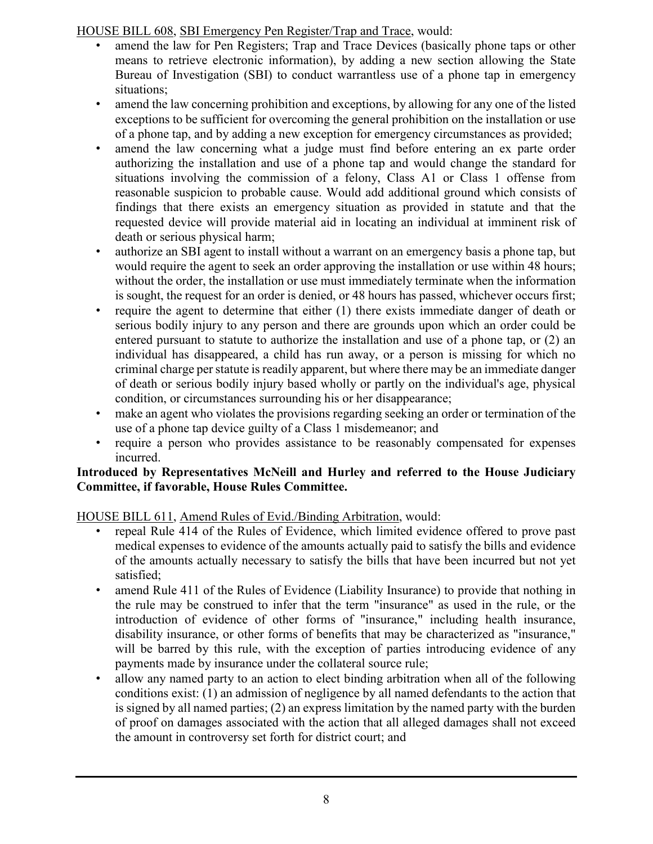HOUSE BILL 608, SBI Emergency Pen Register/Trap and Trace, would:

- amend the law for Pen Registers; Trap and Trace Devices (basically phone taps or other means to retrieve electronic information), by adding a new section allowing the State Bureau of Investigation (SBI) to conduct warrantless use of a phone tap in emergency situations;
- amend the law concerning prohibition and exceptions, by allowing for any one of the listed exceptions to be sufficient for overcoming the general prohibition on the installation or use of a phone tap, and by adding a new exception for emergency circumstances as provided;
- amend the law concerning what a judge must find before entering an ex parte order authorizing the installation and use of a phone tap and would change the standard for situations involving the commission of a felony, Class A1 or Class 1 offense from reasonable suspicion to probable cause. Would add additional ground which consists of findings that there exists an emergency situation as provided in statute and that the requested device will provide material aid in locating an individual at imminent risk of death or serious physical harm;
- authorize an SBI agent to install without a warrant on an emergency basis a phone tap, but would require the agent to seek an order approving the installation or use within 48 hours; without the order, the installation or use must immediately terminate when the information is sought, the request for an order is denied, or 48 hours has passed, whichever occurs first;
- require the agent to determine that either (1) there exists immediate danger of death or serious bodily injury to any person and there are grounds upon which an order could be entered pursuant to statute to authorize the installation and use of a phone tap, or (2) an individual has disappeared, a child has run away, or a person is missing for which no criminal charge per statute is readily apparent, but where there may be an immediate danger of death or serious bodily injury based wholly or partly on the individual's age, physical condition, or circumstances surrounding his or her disappearance;
- make an agent who violates the provisions regarding seeking an order or termination of the use of a phone tap device guilty of a Class 1 misdemeanor; and
- require a person who provides assistance to be reasonably compensated for expenses incurred.

### **Introduced by Representatives McNeill and Hurley and referred to the House Judiciary Committee, if favorable, House Rules Committee.**

HOUSE BILL 611, Amend Rules of Evid./Binding Arbitration, would:

- repeal Rule 414 of the Rules of Evidence, which limited evidence offered to prove past medical expenses to evidence of the amounts actually paid to satisfy the bills and evidence of the amounts actually necessary to satisfy the bills that have been incurred but not yet satisfied;
- amend Rule 411 of the Rules of Evidence (Liability Insurance) to provide that nothing in the rule may be construed to infer that the term "insurance" as used in the rule, or the introduction of evidence of other forms of "insurance," including health insurance, disability insurance, or other forms of benefits that may be characterized as "insurance," will be barred by this rule, with the exception of parties introducing evidence of any payments made by insurance under the collateral source rule;
- allow any named party to an action to elect binding arbitration when all of the following conditions exist: (1) an admission of negligence by all named defendants to the action that is signed by all named parties; (2) an express limitation by the named party with the burden of proof on damages associated with the action that all alleged damages shall not exceed the amount in controversy set forth for district court; and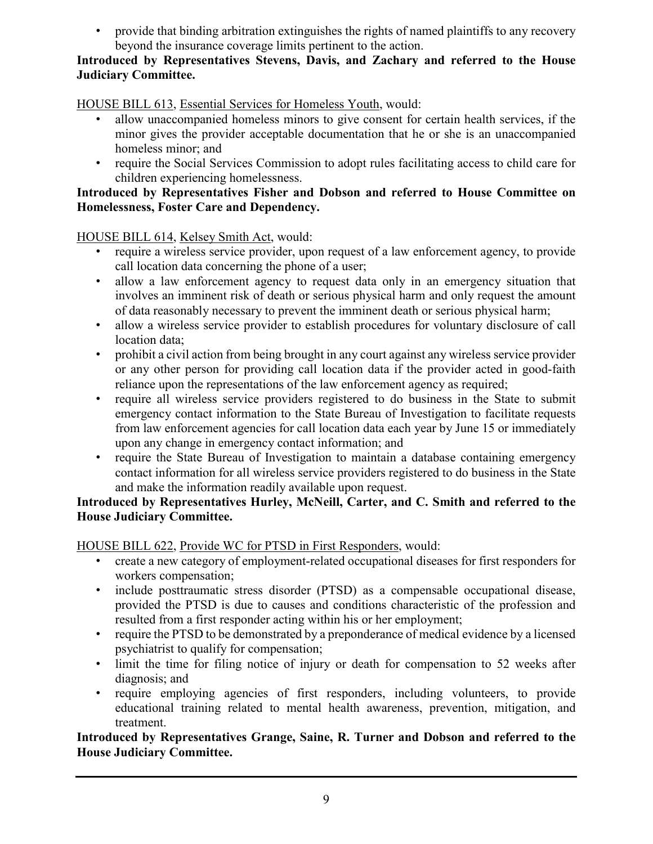• provide that binding arbitration extinguishes the rights of named plaintiffs to any recovery beyond the insurance coverage limits pertinent to the action.

### **Introduced by Representatives Stevens, Davis, and Zachary and referred to the House Judiciary Committee.**

HOUSE BILL 613, Essential Services for Homeless Youth, would:

- allow unaccompanied homeless minors to give consent for certain health services, if the minor gives the provider acceptable documentation that he or she is an unaccompanied homeless minor; and
- require the Social Services Commission to adopt rules facilitating access to child care for children experiencing homelessness.

### **Introduced by Representatives Fisher and Dobson and referred to House Committee on Homelessness, Foster Care and Dependency.**

HOUSE BILL 614, Kelsey Smith Act, would:

- require a wireless service provider, upon request of a law enforcement agency, to provide call location data concerning the phone of a user;
- allow a law enforcement agency to request data only in an emergency situation that involves an imminent risk of death or serious physical harm and only request the amount of data reasonably necessary to prevent the imminent death or serious physical harm;
- allow a wireless service provider to establish procedures for voluntary disclosure of call location data;
- prohibit a civil action from being brought in any court against any wireless service provider or any other person for providing call location data if the provider acted in good-faith reliance upon the representations of the law enforcement agency as required;
- require all wireless service providers registered to do business in the State to submit emergency contact information to the State Bureau of Investigation to facilitate requests from law enforcement agencies for call location data each year by June 15 or immediately upon any change in emergency contact information; and
- require the State Bureau of Investigation to maintain a database containing emergency contact information for all wireless service providers registered to do business in the State and make the information readily available upon request.

### **Introduced by Representatives Hurley, McNeill, Carter, and C. Smith and referred to the House Judiciary Committee.**

HOUSE BILL 622, Provide WC for PTSD in First Responders, would:

- create a new category of employment-related occupational diseases for first responders for workers compensation;
- include posttraumatic stress disorder (PTSD) as a compensable occupational disease, provided the PTSD is due to causes and conditions characteristic of the profession and resulted from a first responder acting within his or her employment;
- require the PTSD to be demonstrated by a preponderance of medical evidence by a licensed psychiatrist to qualify for compensation;
- limit the time for filing notice of injury or death for compensation to 52 weeks after diagnosis; and
- require employing agencies of first responders, including volunteers, to provide educational training related to mental health awareness, prevention, mitigation, and treatment.

**Introduced by Representatives Grange, Saine, R. Turner and Dobson and referred to the House Judiciary Committee.**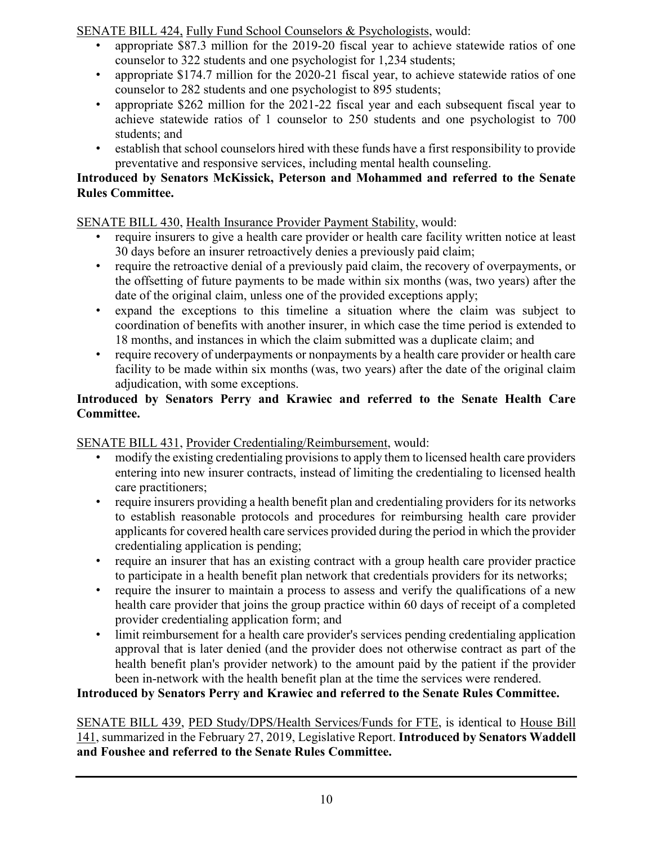SENATE BILL 424, Fully Fund School Counselors & Psychologists, would:

- appropriate \$87.3 million for the 2019-20 fiscal year to achieve statewide ratios of one counselor to 322 students and one psychologist for 1,234 students;
- appropriate \$174.7 million for the 2020-21 fiscal year, to achieve statewide ratios of one counselor to 282 students and one psychologist to 895 students;
- appropriate \$262 million for the 2021-22 fiscal year and each subsequent fiscal year to achieve statewide ratios of 1 counselor to 250 students and one psychologist to 700 students; and
- establish that school counselors hired with these funds have a first responsibility to provide preventative and responsive services, including mental health counseling.

### **Introduced by Senators McKissick, Peterson and Mohammed and referred to the Senate Rules Committee.**

### SENATE BILL 430, Health Insurance Provider Payment Stability, would:

- require insurers to give a health care provider or health care facility written notice at least 30 days before an insurer retroactively denies a previously paid claim;
- require the retroactive denial of a previously paid claim, the recovery of overpayments, or the offsetting of future payments to be made within six months (was, two years) after the date of the original claim, unless one of the provided exceptions apply;
- expand the exceptions to this timeline a situation where the claim was subject to coordination of benefits with another insurer, in which case the time period is extended to 18 months, and instances in which the claim submitted was a duplicate claim; and
- require recovery of underpayments or nonpayments by a health care provider or health care facility to be made within six months (was, two years) after the date of the original claim adjudication, with some exceptions.

### **Introduced by Senators Perry and Krawiec and referred to the Senate Health Care Committee.**

## SENATE BILL 431, Provider Credentialing/Reimbursement, would:

- modify the existing credentialing provisions to apply them to licensed health care providers entering into new insurer contracts, instead of limiting the credentialing to licensed health care practitioners;
- require insurers providing a health benefit plan and credentialing providers for its networks to establish reasonable protocols and procedures for reimbursing health care provider applicants for covered health care services provided during the period in which the provider credentialing application is pending;
- require an insurer that has an existing contract with a group health care provider practice to participate in a health benefit plan network that credentials providers for its networks;
- require the insurer to maintain a process to assess and verify the qualifications of a new health care provider that joins the group practice within 60 days of receipt of a completed provider credentialing application form; and
- limit reimbursement for a health care provider's services pending credentialing application approval that is later denied (and the provider does not otherwise contract as part of the health benefit plan's provider network) to the amount paid by the patient if the provider been in-network with the health benefit plan at the time the services were rendered.

### **Introduced by Senators Perry and Krawiec and referred to the Senate Rules Committee.**

SENATE BILL 439, PED Study/DPS/Health Services/Funds for FTE, is identical to House Bill 141, summarized in the February 27, 2019, Legislative Report. **Introduced by Senators Waddell and Foushee and referred to the Senate Rules Committee.**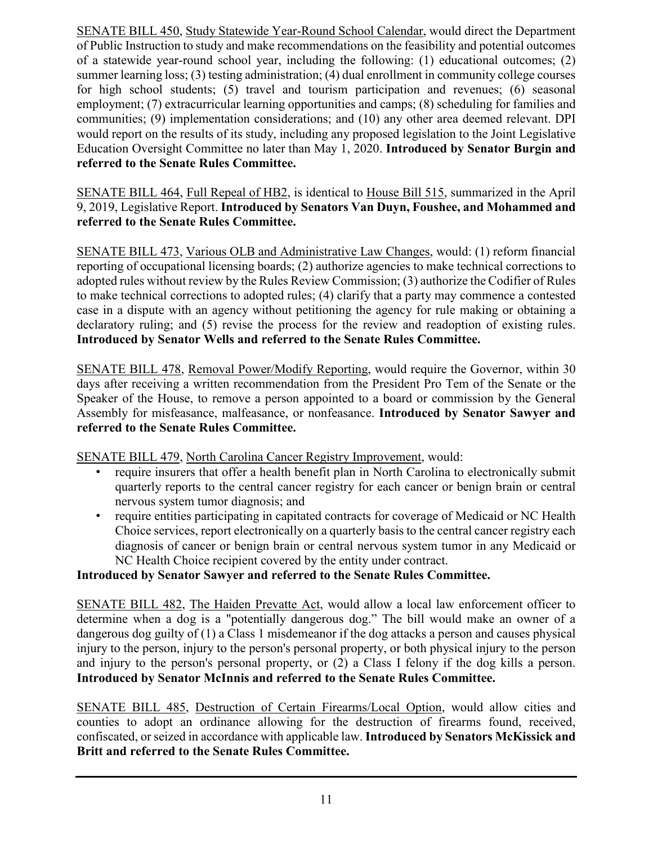SENATE BILL 450, Study Statewide Year-Round School Calendar, would direct the Department of Public Instruction to study and make recommendations on the feasibility and potential outcomes of a statewide year-round school year, including the following: (1) educational outcomes; (2) summer learning loss; (3) testing administration; (4) dual enrollment in community college courses for high school students; (5) travel and tourism participation and revenues; (6) seasonal employment; (7) extracurricular learning opportunities and camps; (8) scheduling for families and communities; (9) implementation considerations; and (10) any other area deemed relevant. DPI would report on the results of its study, including any proposed legislation to the Joint Legislative Education Oversight Committee no later than May 1, 2020. **Introduced by Senator Burgin and referred to the Senate Rules Committee.**

SENATE BILL 464, Full Repeal of HB2, is identical to House Bill 515, summarized in the April 9, 2019, Legislative Report. **Introduced by Senators Van Duyn, Foushee, and Mohammed and referred to the Senate Rules Committee.**

SENATE BILL 473, Various OLB and Administrative Law Changes, would: (1) reform financial reporting of occupational licensing boards; (2) authorize agencies to make technical corrections to adopted rules without review by the Rules Review Commission; (3) authorize the Codifier of Rules to make technical corrections to adopted rules; (4) clarify that a party may commence a contested case in a dispute with an agency without petitioning the agency for rule making or obtaining a declaratory ruling; and (5) revise the process for the review and readoption of existing rules. **Introduced by Senator Wells and referred to the Senate Rules Committee.**

SENATE BILL 478, Removal Power/Modify Reporting, would require the Governor, within 30 days after receiving a written recommendation from the President Pro Tem of the Senate or the Speaker of the House, to remove a person appointed to a board or commission by the General Assembly for misfeasance, malfeasance, or nonfeasance. **Introduced by Senator Sawyer and referred to the Senate Rules Committee.**

SENATE BILL 479, North Carolina Cancer Registry Improvement, would:

- require insurers that offer a health benefit plan in North Carolina to electronically submit quarterly reports to the central cancer registry for each cancer or benign brain or central nervous system tumor diagnosis; and
- require entities participating in capitated contracts for coverage of Medicaid or NC Health Choice services, report electronically on a quarterly basis to the central cancer registry each diagnosis of cancer or benign brain or central nervous system tumor in any Medicaid or NC Health Choice recipient covered by the entity under contract.

### **Introduced by Senator Sawyer and referred to the Senate Rules Committee.**

SENATE BILL 482, The Haiden Prevatte Act, would allow a local law enforcement officer to determine when a dog is a "potentially dangerous dog." The bill would make an owner of a dangerous dog guilty of (1) a Class 1 misdemeanor if the dog attacks a person and causes physical injury to the person, injury to the person's personal property, or both physical injury to the person and injury to the person's personal property, or (2) a Class I felony if the dog kills a person. **Introduced by Senator McInnis and referred to the Senate Rules Committee.**

SENATE BILL 485, Destruction of Certain Firearms/Local Option, would allow cities and counties to adopt an ordinance allowing for the destruction of firearms found, received, confiscated, or seized in accordance with applicable law. **Introduced by Senators McKissick and Britt and referred to the Senate Rules Committee.**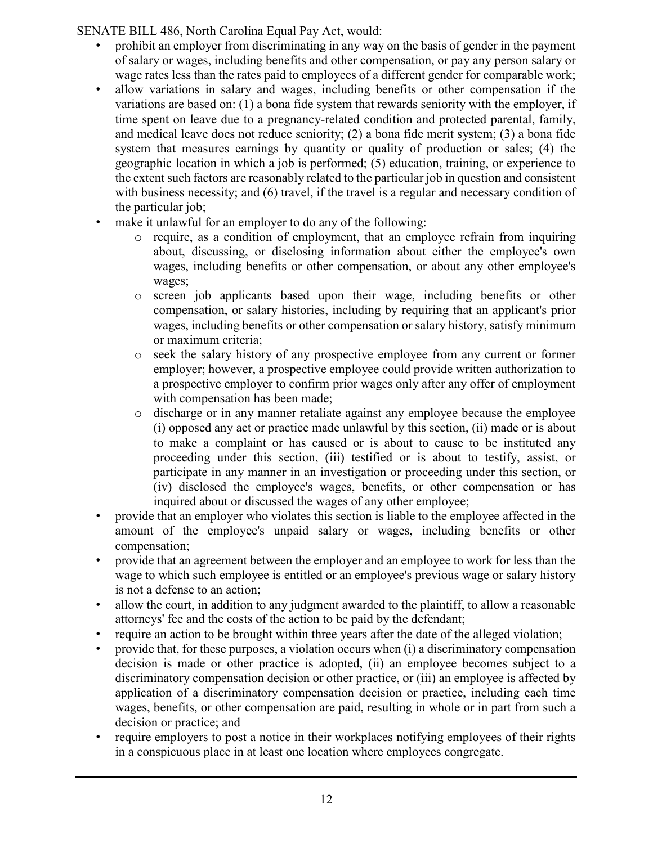### SENATE BILL 486, North Carolina Equal Pay Act, would:

- prohibit an employer from discriminating in any way on the basis of gender in the payment of salary or wages, including benefits and other compensation, or pay any person salary or wage rates less than the rates paid to employees of a different gender for comparable work;
- allow variations in salary and wages, including benefits or other compensation if the variations are based on: (1) a bona fide system that rewards seniority with the employer, if time spent on leave due to a pregnancy-related condition and protected parental, family, and medical leave does not reduce seniority; (2) a bona fide merit system; (3) a bona fide system that measures earnings by quantity or quality of production or sales; (4) the geographic location in which a job is performed; (5) education, training, or experience to the extent such factors are reasonably related to the particular job in question and consistent with business necessity; and (6) travel, if the travel is a regular and necessary condition of the particular job;
- make it unlawful for an employer to do any of the following:
	- o require, as a condition of employment, that an employee refrain from inquiring about, discussing, or disclosing information about either the employee's own wages, including benefits or other compensation, or about any other employee's wages;
	- o screen job applicants based upon their wage, including benefits or other compensation, or salary histories, including by requiring that an applicant's prior wages, including benefits or other compensation or salary history, satisfy minimum or maximum criteria;
	- o seek the salary history of any prospective employee from any current or former employer; however, a prospective employee could provide written authorization to a prospective employer to confirm prior wages only after any offer of employment with compensation has been made;
	- o discharge or in any manner retaliate against any employee because the employee (i) opposed any act or practice made unlawful by this section, (ii) made or is about to make a complaint or has caused or is about to cause to be instituted any proceeding under this section, (iii) testified or is about to testify, assist, or participate in any manner in an investigation or proceeding under this section, or (iv) disclosed the employee's wages, benefits, or other compensation or has inquired about or discussed the wages of any other employee;
- provide that an employer who violates this section is liable to the employee affected in the amount of the employee's unpaid salary or wages, including benefits or other compensation;
- provide that an agreement between the employer and an employee to work for less than the wage to which such employee is entitled or an employee's previous wage or salary history is not a defense to an action;
- allow the court, in addition to any judgment awarded to the plaintiff, to allow a reasonable attorneys' fee and the costs of the action to be paid by the defendant;
- require an action to be brought within three years after the date of the alleged violation;
- provide that, for these purposes, a violation occurs when (i) a discriminatory compensation decision is made or other practice is adopted, (ii) an employee becomes subject to a discriminatory compensation decision or other practice, or (iii) an employee is affected by application of a discriminatory compensation decision or practice, including each time wages, benefits, or other compensation are paid, resulting in whole or in part from such a decision or practice; and
- require employers to post a notice in their workplaces notifying employees of their rights in a conspicuous place in at least one location where employees congregate.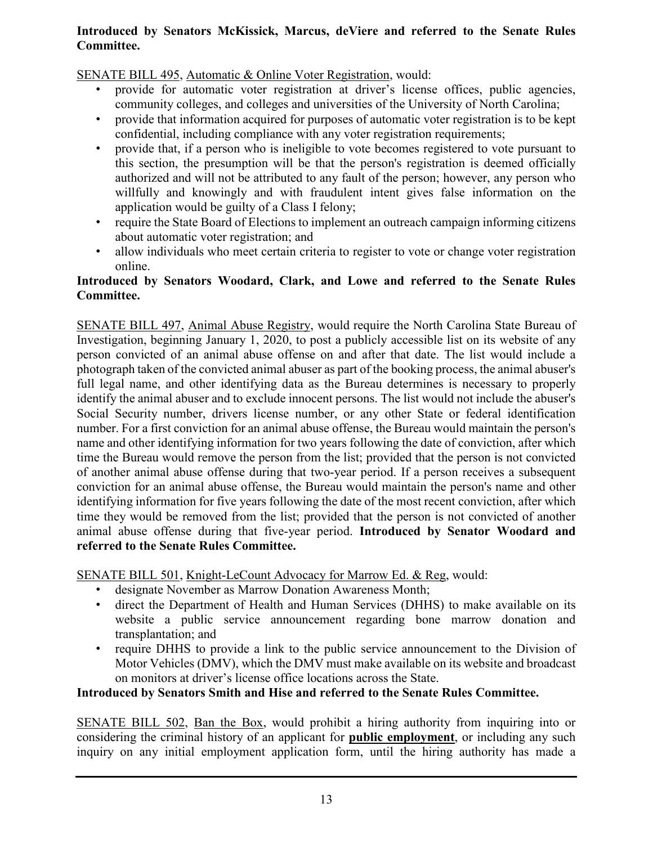### **Introduced by Senators McKissick, Marcus, deViere and referred to the Senate Rules Committee.**

SENATE BILL 495, Automatic & Online Voter Registration, would:

- provide for automatic voter registration at driver's license offices, public agencies, community colleges, and colleges and universities of the University of North Carolina;
- provide that information acquired for purposes of automatic voter registration is to be kept confidential, including compliance with any voter registration requirements;
- provide that, if a person who is ineligible to vote becomes registered to vote pursuant to this section, the presumption will be that the person's registration is deemed officially authorized and will not be attributed to any fault of the person; however, any person who willfully and knowingly and with fraudulent intent gives false information on the application would be guilty of a Class I felony;
- require the State Board of Elections to implement an outreach campaign informing citizens about automatic voter registration; and
- allow individuals who meet certain criteria to register to vote or change voter registration online.

### **Introduced by Senators Woodard, Clark, and Lowe and referred to the Senate Rules Committee.**

SENATE BILL 497, Animal Abuse Registry, would require the North Carolina State Bureau of Investigation, beginning January 1, 2020, to post a publicly accessible list on its website of any person convicted of an animal abuse offense on and after that date. The list would include a photograph taken of the convicted animal abuser as part of the booking process, the animal abuser's full legal name, and other identifying data as the Bureau determines is necessary to properly identify the animal abuser and to exclude innocent persons. The list would not include the abuser's Social Security number, drivers license number, or any other State or federal identification number. For a first conviction for an animal abuse offense, the Bureau would maintain the person's name and other identifying information for two years following the date of conviction, after which time the Bureau would remove the person from the list; provided that the person is not convicted of another animal abuse offense during that two-year period. If a person receives a subsequent conviction for an animal abuse offense, the Bureau would maintain the person's name and other identifying information for five years following the date of the most recent conviction, after which time they would be removed from the list; provided that the person is not convicted of another animal abuse offense during that five-year period. **Introduced by Senator Woodard and referred to the Senate Rules Committee.**

SENATE BILL 501, Knight-LeCount Advocacy for Marrow Ed. & Reg, would:

- designate November as Marrow Donation Awareness Month;
- direct the Department of Health and Human Services (DHHS) to make available on its website a public service announcement regarding bone marrow donation and transplantation; and
- require DHHS to provide a link to the public service announcement to the Division of Motor Vehicles (DMV), which the DMV must make available on its website and broadcast on monitors at driver's license office locations across the State.

### **Introduced by Senators Smith and Hise and referred to the Senate Rules Committee.**

SENATE BILL 502, Ban the Box, would prohibit a hiring authority from inquiring into or considering the criminal history of an applicant for **public employment**, or including any such inquiry on any initial employment application form, until the hiring authority has made a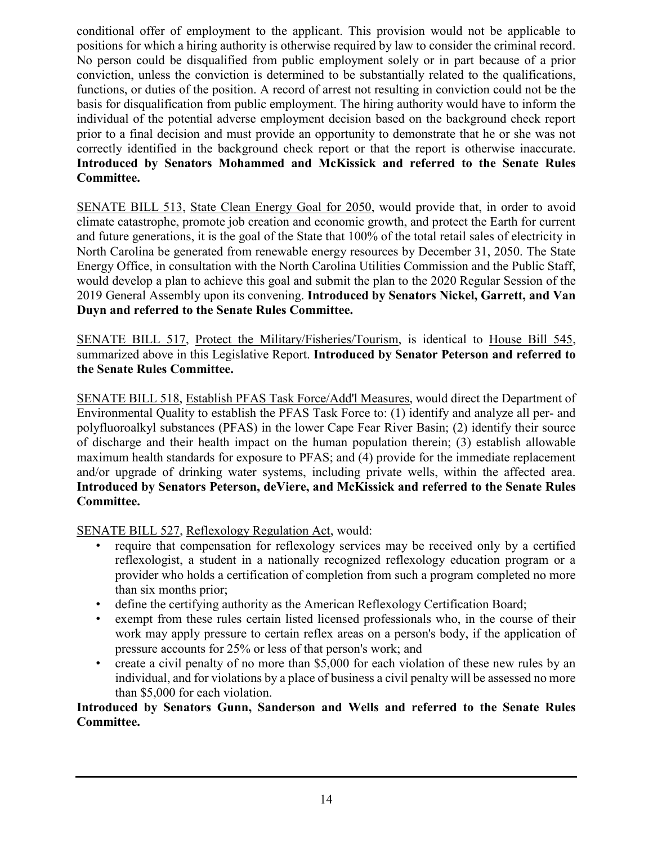conditional offer of employment to the applicant. This provision would not be applicable to positions for which a hiring authority is otherwise required by law to consider the criminal record. No person could be disqualified from public employment solely or in part because of a prior conviction, unless the conviction is determined to be substantially related to the qualifications, functions, or duties of the position. A record of arrest not resulting in conviction could not be the basis for disqualification from public employment. The hiring authority would have to inform the individual of the potential adverse employment decision based on the background check report prior to a final decision and must provide an opportunity to demonstrate that he or she was not correctly identified in the background check report or that the report is otherwise inaccurate. **Introduced by Senators Mohammed and McKissick and referred to the Senate Rules Committee.**

SENATE BILL 513, State Clean Energy Goal for 2050, would provide that, in order to avoid climate catastrophe, promote job creation and economic growth, and protect the Earth for current and future generations, it is the goal of the State that 100% of the total retail sales of electricity in North Carolina be generated from renewable energy resources by December 31, 2050. The State Energy Office, in consultation with the North Carolina Utilities Commission and the Public Staff, would develop a plan to achieve this goal and submit the plan to the 2020 Regular Session of the 2019 General Assembly upon its convening. **Introduced by Senators Nickel, Garrett, and Van Duyn and referred to the Senate Rules Committee.**

SENATE BILL 517, Protect the Military/Fisheries/Tourism, is identical to House Bill 545, summarized above in this Legislative Report. **Introduced by Senator Peterson and referred to the Senate Rules Committee.**

SENATE BILL 518, Establish PFAS Task Force/Add'l Measures, would direct the Department of Environmental Quality to establish the PFAS Task Force to: (1) identify and analyze all per- and polyfluoroalkyl substances (PFAS) in the lower Cape Fear River Basin; (2) identify their source of discharge and their health impact on the human population therein; (3) establish allowable maximum health standards for exposure to PFAS; and (4) provide for the immediate replacement and/or upgrade of drinking water systems, including private wells, within the affected area. **Introduced by Senators Peterson, deViere, and McKissick and referred to the Senate Rules Committee.**

SENATE BILL 527, Reflexology Regulation Act, would:

- require that compensation for reflexology services may be received only by a certified reflexologist, a student in a nationally recognized reflexology education program or a provider who holds a certification of completion from such a program completed no more than six months prior;
- define the certifying authority as the American Reflexology Certification Board;
- exempt from these rules certain listed licensed professionals who, in the course of their work may apply pressure to certain reflex areas on a person's body, if the application of pressure accounts for 25% or less of that person's work; and
- create a civil penalty of no more than \$5,000 for each violation of these new rules by an individual, and for violations by a place of business a civil penalty will be assessed no more than \$5,000 for each violation.

### **Introduced by Senators Gunn, Sanderson and Wells and referred to the Senate Rules Committee.**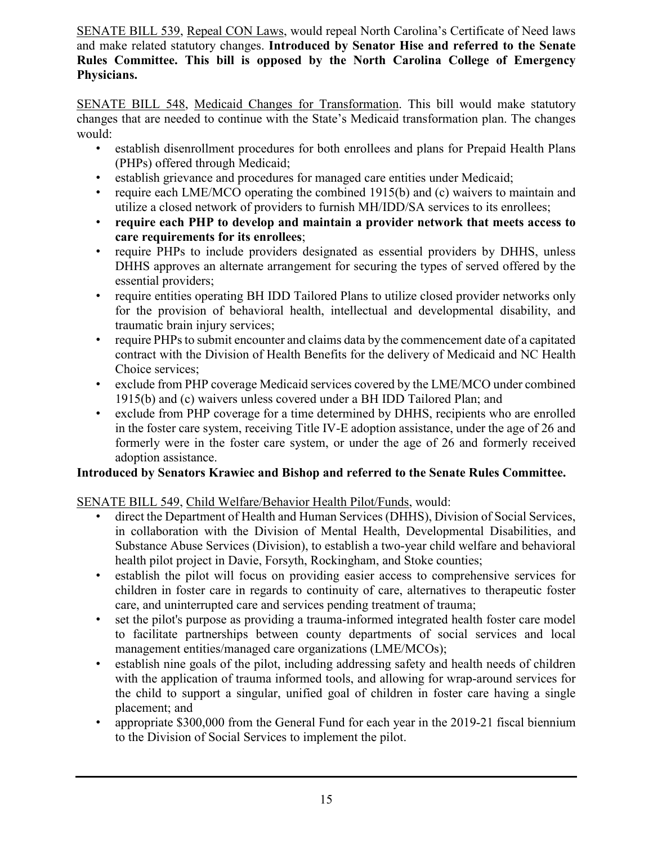SENATE BILL 539, Repeal CON Laws, would repeal North Carolina's Certificate of Need laws and make related statutory changes. **Introduced by Senator Hise and referred to the Senate Rules Committee. This bill is opposed by the North Carolina College of Emergency Physicians.**

SENATE BILL 548, Medicaid Changes for Transformation. This bill would make statutory changes that are needed to continue with the State's Medicaid transformation plan. The changes would:

- establish disenrollment procedures for both enrollees and plans for Prepaid Health Plans (PHPs) offered through Medicaid;
- establish grievance and procedures for managed care entities under Medicaid;
- require each LME/MCO operating the combined 1915(b) and (c) waivers to maintain and utilize a closed network of providers to furnish MH/IDD/SA services to its enrollees;
- **require each PHP to develop and maintain a provider network that meets access to care requirements for its enrollees**;
- require PHPs to include providers designated as essential providers by DHHS, unless DHHS approves an alternate arrangement for securing the types of served offered by the essential providers;
- require entities operating BH IDD Tailored Plans to utilize closed provider networks only for the provision of behavioral health, intellectual and developmental disability, and traumatic brain injury services;
- require PHPs to submit encounter and claims data by the commencement date of a capitated contract with the Division of Health Benefits for the delivery of Medicaid and NC Health Choice services;
- exclude from PHP coverage Medicaid services covered by the LME/MCO under combined 1915(b) and (c) waivers unless covered under a BH IDD Tailored Plan; and
- exclude from PHP coverage for a time determined by DHHS, recipients who are enrolled in the foster care system, receiving Title IV-E adoption assistance, under the age of 26 and formerly were in the foster care system, or under the age of 26 and formerly received adoption assistance.

### **Introduced by Senators Krawiec and Bishop and referred to the Senate Rules Committee.**

### SENATE BILL 549, Child Welfare/Behavior Health Pilot/Funds, would:

- direct the Department of Health and Human Services (DHHS), Division of Social Services, in collaboration with the Division of Mental Health, Developmental Disabilities, and Substance Abuse Services (Division), to establish a two-year child welfare and behavioral health pilot project in Davie, Forsyth, Rockingham, and Stoke counties;
- establish the pilot will focus on providing easier access to comprehensive services for children in foster care in regards to continuity of care, alternatives to therapeutic foster care, and uninterrupted care and services pending treatment of trauma;
- set the pilot's purpose as providing a trauma-informed integrated health foster care model to facilitate partnerships between county departments of social services and local management entities/managed care organizations (LME/MCOs);
- establish nine goals of the pilot, including addressing safety and health needs of children with the application of trauma informed tools, and allowing for wrap-around services for the child to support a singular, unified goal of children in foster care having a single placement; and
- appropriate \$300,000 from the General Fund for each year in the 2019-21 fiscal biennium to the Division of Social Services to implement the pilot.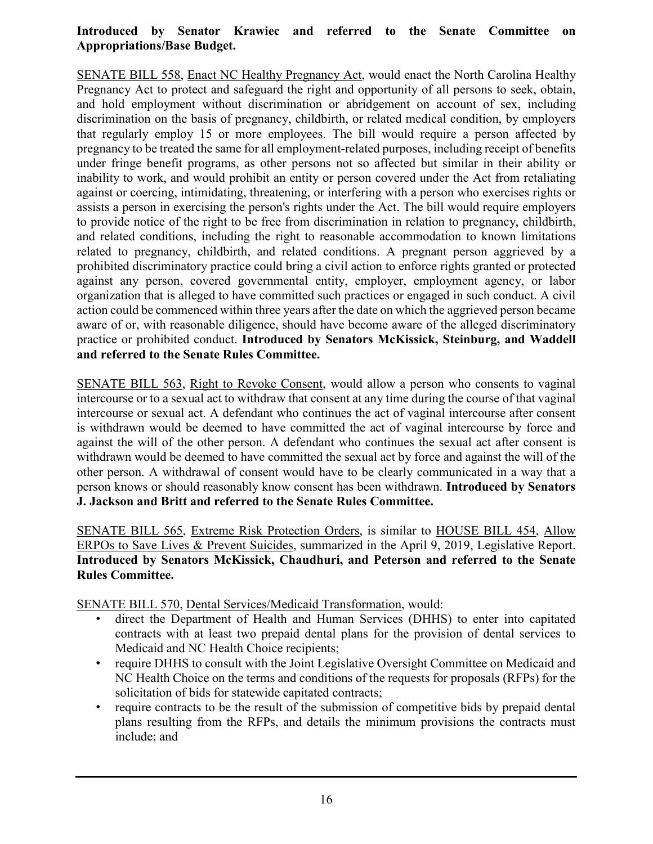### **Introduced by Senator Krawiec and referred to the Senate Committee on Appropriations/Base Budget.**

SENATE BILL 558, Enact NC Healthy Pregnancy Act, would enact the North Carolina Healthy Pregnancy Act to protect and safeguard the right and opportunity of all persons to seek, obtain, and hold employment without discrimination or abridgement on account of sex, including discrimination on the basis of pregnancy, childbirth, or related medical condition, by employers that regularly employ 15 or more employees. The bill would require a person affected by pregnancy to be treated the same for all employment-related purposes, including receipt of benefits under fringe benefit programs, as other persons not so affected but similar in their ability or inability to work, and would prohibit an entity or person covered under the Act from retaliating against or coercing, intimidating, threatening, or interfering with a person who exercises rights or assists a person in exercising the person's rights under the Act. The bill would require employers to provide notice of the right to be free from discrimination in relation to pregnancy, childbirth, and related conditions, including the right to reasonable accommodation to known limitations related to pregnancy, childbirth, and related conditions. A pregnant person aggrieved by a prohibited discriminatory practice could bring a civil action to enforce rights granted or protected against any person, covered governmental entity, employer, employment agency, or labor organization that is alleged to have committed such practices or engaged in such conduct. A civil action could be commenced within three years after the date on which the aggrieved person became aware of or, with reasonable diligence, should have become aware of the alleged discriminatory practice or prohibited conduct. **Introduced by Senators McKissick, Steinburg, and Waddell and referred to the Senate Rules Committee.**

SENATE BILL 563, Right to Revoke Consent, would allow a person who consents to vaginal intercourse or to a sexual act to withdraw that consent at any time during the course of that vaginal intercourse or sexual act. A defendant who continues the act of vaginal intercourse after consent is withdrawn would be deemed to have committed the act of vaginal intercourse by force and against the will of the other person. A defendant who continues the sexual act after consent is withdrawn would be deemed to have committed the sexual act by force and against the will of the other person. A withdrawal of consent would have to be clearly communicated in a way that a person knows or should reasonably know consent has been withdrawn. **Introduced by Senators J. Jackson and Britt and referred to the Senate Rules Committee.**

SENATE BILL 565, Extreme Risk Protection Orders, is similar to HOUSE BILL 454, Allow ERPOs to Save Lives & Prevent Suicides, summarized in the April 9, 2019, Legislative Report. **Introduced by Senators McKissick, Chaudhuri, and Peterson and referred to the Senate Rules Committee.**

SENATE BILL 570, Dental Services/Medicaid Transformation, would:

- direct the Department of Health and Human Services (DHHS) to enter into capitated contracts with at least two prepaid dental plans for the provision of dental services to Medicaid and NC Health Choice recipients;
- require DHHS to consult with the Joint Legislative Oversight Committee on Medicaid and NC Health Choice on the terms and conditions of the requests for proposals (RFPs) for the solicitation of bids for statewide capitated contracts;
- require contracts to be the result of the submission of competitive bids by prepaid dental plans resulting from the RFPs, and details the minimum provisions the contracts must include; and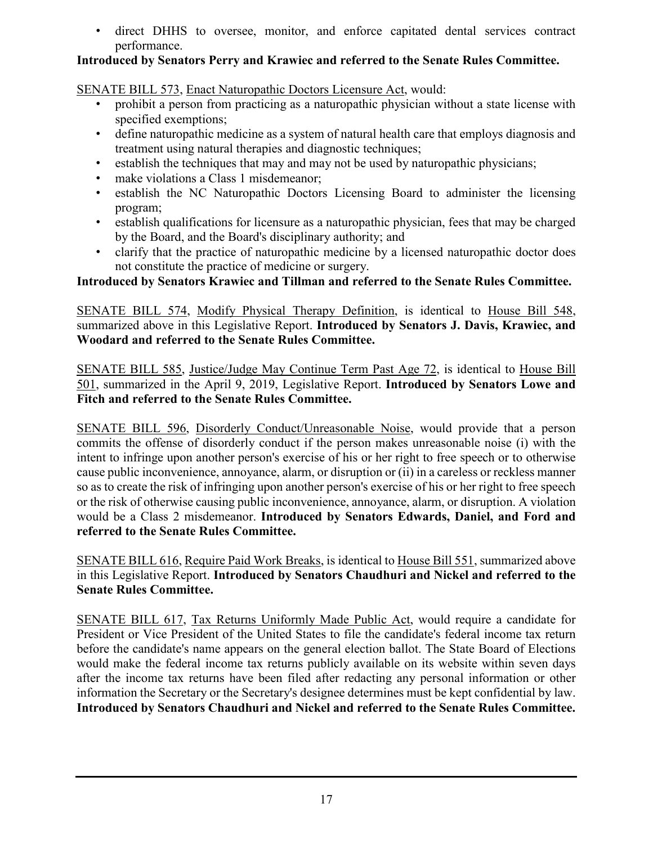• direct DHHS to oversee, monitor, and enforce capitated dental services contract performance.

### **Introduced by Senators Perry and Krawiec and referred to the Senate Rules Committee.**

SENATE BILL 573, Enact Naturopathic Doctors Licensure Act, would:

- prohibit a person from practicing as a naturopathic physician without a state license with specified exemptions;
- define naturopathic medicine as a system of natural health care that employs diagnosis and treatment using natural therapies and diagnostic techniques;
- establish the techniques that may and may not be used by naturopathic physicians;
- make violations a Class 1 misdemeanor;
- establish the NC Naturopathic Doctors Licensing Board to administer the licensing program;
- establish qualifications for licensure as a naturopathic physician, fees that may be charged by the Board, and the Board's disciplinary authority; and
- clarify that the practice of naturopathic medicine by a licensed naturopathic doctor does not constitute the practice of medicine or surgery.

**Introduced by Senators Krawiec and Tillman and referred to the Senate Rules Committee.**

SENATE BILL 574, Modify Physical Therapy Definition, is identical to House Bill 548, summarized above in this Legislative Report. **Introduced by Senators J. Davis, Krawiec, and Woodard and referred to the Senate Rules Committee.**

SENATE BILL 585, Justice/Judge May Continue Term Past Age 72, is identical to House Bill 501, summarized in the April 9, 2019, Legislative Report. **Introduced by Senators Lowe and Fitch and referred to the Senate Rules Committee.**

SENATE BILL 596, Disorderly Conduct/Unreasonable Noise, would provide that a person commits the offense of disorderly conduct if the person makes unreasonable noise (i) with the intent to infringe upon another person's exercise of his or her right to free speech or to otherwise cause public inconvenience, annoyance, alarm, or disruption or (ii) in a careless or reckless manner so as to create the risk of infringing upon another person's exercise of his or her right to free speech or the risk of otherwise causing public inconvenience, annoyance, alarm, or disruption. A violation would be a Class 2 misdemeanor. **Introduced by Senators Edwards, Daniel, and Ford and referred to the Senate Rules Committee.**

SENATE BILL 616, Require Paid Work Breaks, is identical to House Bill 551, summarized above in this Legislative Report. **Introduced by Senators Chaudhuri and Nickel and referred to the Senate Rules Committee.**

SENATE BILL 617, Tax Returns Uniformly Made Public Act, would require a candidate for President or Vice President of the United States to file the candidate's federal income tax return before the candidate's name appears on the general election ballot. The State Board of Elections would make the federal income tax returns publicly available on its website within seven days after the income tax returns have been filed after redacting any personal information or other information the Secretary or the Secretary's designee determines must be kept confidential by law. **Introduced by Senators Chaudhuri and Nickel and referred to the Senate Rules Committee.**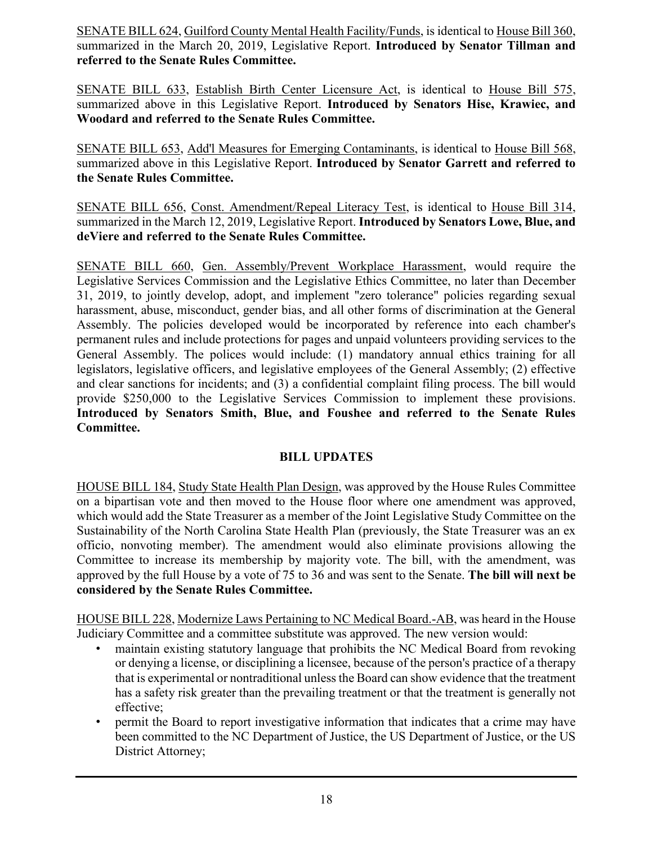SENATE BILL 624, Guilford County Mental Health Facility/Funds, is identical to House Bill 360, summarized in the March 20, 2019, Legislative Report. **Introduced by Senator Tillman and referred to the Senate Rules Committee.**

SENATE BILL 633, Establish Birth Center Licensure Act, is identical to House Bill 575, summarized above in this Legislative Report. **Introduced by Senators Hise, Krawiec, and Woodard and referred to the Senate Rules Committee.**

SENATE BILL 653, Add'l Measures for Emerging Contaminants, is identical to House Bill 568, summarized above in this Legislative Report. **Introduced by Senator Garrett and referred to the Senate Rules Committee.**

SENATE BILL 656, Const. Amendment/Repeal Literacy Test, is identical to House Bill 314, summarized in the March 12, 2019, Legislative Report. **Introduced by Senators Lowe, Blue, and deViere and referred to the Senate Rules Committee.**

SENATE BILL 660, Gen. Assembly/Prevent Workplace Harassment, would require the Legislative Services Commission and the Legislative Ethics Committee, no later than December 31, 2019, to jointly develop, adopt, and implement "zero tolerance" policies regarding sexual harassment, abuse, misconduct, gender bias, and all other forms of discrimination at the General Assembly. The policies developed would be incorporated by reference into each chamber's permanent rules and include protections for pages and unpaid volunteers providing services to the General Assembly. The polices would include: (1) mandatory annual ethics training for all legislators, legislative officers, and legislative employees of the General Assembly; (2) effective and clear sanctions for incidents; and (3) a confidential complaint filing process. The bill would provide \$250,000 to the Legislative Services Commission to implement these provisions. **Introduced by Senators Smith, Blue, and Foushee and referred to the Senate Rules Committee.**

### **BILL UPDATES**

HOUSE BILL 184, Study State Health Plan Design, was approved by the House Rules Committee on a bipartisan vote and then moved to the House floor where one amendment was approved, which would add the State Treasurer as a member of the Joint Legislative Study Committee on the Sustainability of the North Carolina State Health Plan (previously, the State Treasurer was an ex officio, nonvoting member). The amendment would also eliminate provisions allowing the Committee to increase its membership by majority vote. The bill, with the amendment, was approved by the full House by a vote of 75 to 36 and was sent to the Senate. **The bill will next be considered by the Senate Rules Committee.**

HOUSE BILL 228, Modernize Laws Pertaining to NC Medical Board.-AB, was heard in the House Judiciary Committee and a committee substitute was approved. The new version would:

- maintain existing statutory language that prohibits the NC Medical Board from revoking or denying a license, or disciplining a licensee, because of the person's practice of a therapy that is experimental or nontraditional unless the Board can show evidence that the treatment has a safety risk greater than the prevailing treatment or that the treatment is generally not effective;
- permit the Board to report investigative information that indicates that a crime may have been committed to the NC Department of Justice, the US Department of Justice, or the US District Attorney;